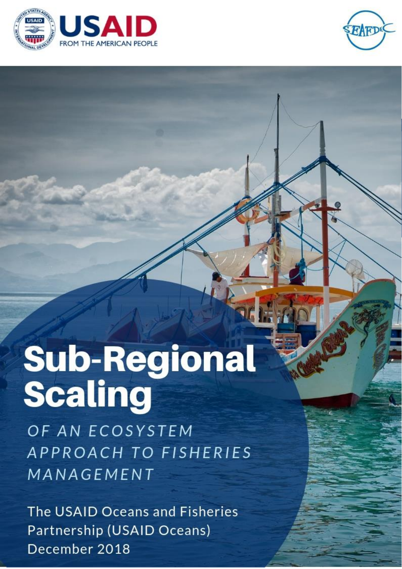



# **Sub-Regional Scaling**

OF AN ECOSYSTEM APPROACH TO FISHERIES MANAGEMENT

The USAID Oceans and Fisheries Partnership (USAID Oceans) December 2018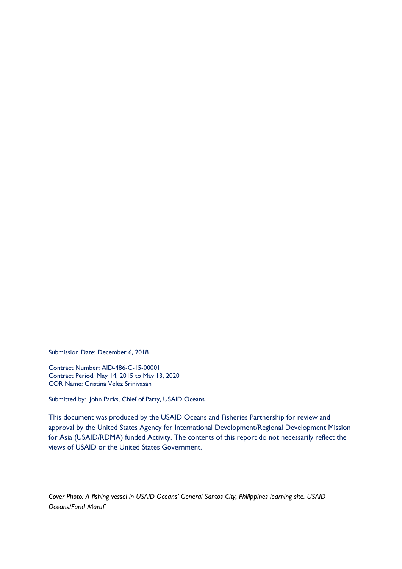Submission Date: December 6, 2018

Contract Number: AID-486-C-15-00001 Contract Period: May 14, 2015 to May 13, 2020 COR Name: Cristina Vélez Srinivasan

Submitted by: John Parks, Chief of Party, USAID Oceans

This document was produced by the USAID Oceans and Fisheries Partnership for review and approval by the United States Agency for International Development/Regional Development Mission for Asia (USAID/RDMA) funded Activity. The contents of this report do not necessarily reflect the views of USAID or the United States Government.

*Cover Photo: A fishing vessel in USAID Oceans' General Santos City, Philippines learning site. USAID Oceans/Farid Maruf*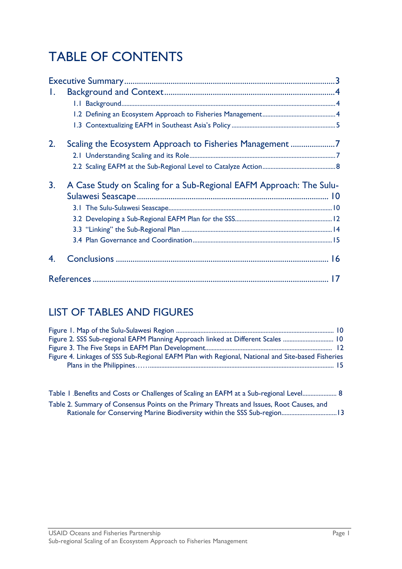# TABLE OF CONTENTS

| Ι. |                                                                     |  |
|----|---------------------------------------------------------------------|--|
|    |                                                                     |  |
|    |                                                                     |  |
|    |                                                                     |  |
| 2. | Scaling the Ecosystem Approach to Fisheries Management7             |  |
|    |                                                                     |  |
|    |                                                                     |  |
|    |                                                                     |  |
| 3. | A Case Study on Scaling for a Sub-Regional EAFM Approach: The Sulu- |  |
|    |                                                                     |  |
|    |                                                                     |  |
|    |                                                                     |  |
|    |                                                                     |  |
|    |                                                                     |  |
|    |                                                                     |  |

# LIST OF TABLES AND FIGURES

| Figure 2. SSS Sub-regional EAFM Planning Approach linked at Different Scales  10                  |  |
|---------------------------------------------------------------------------------------------------|--|
|                                                                                                   |  |
| Figure 4. Linkages of SSS Sub-Regional EAFM Plan with Regional, National and Site-based Fisheries |  |
|                                                                                                   |  |

| Table 1 .Benefits and Costs or Challenges of Scaling an EAFM at a Sub-regional Level 8   |
|------------------------------------------------------------------------------------------|
| Table 2. Summary of Consensus Points on the Primary Threats and Issues, Root Causes, and |
|                                                                                          |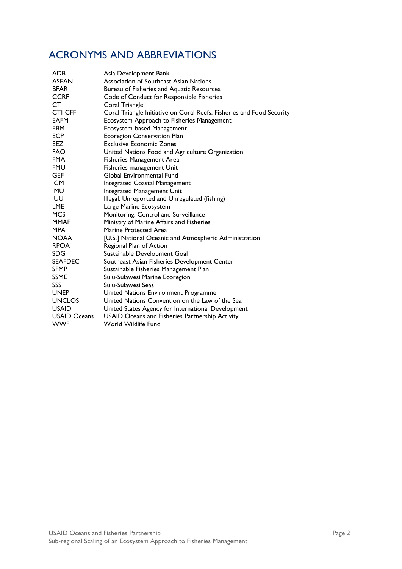# ACRONYMS AND ABBREVIATIONS

| <b>ADB</b>          | Asia Development Bank                                                 |
|---------------------|-----------------------------------------------------------------------|
| <b>ASEAN</b>        | Association of Southeast Asian Nations                                |
| <b>BFAR</b>         | Bureau of Fisheries and Aquatic Resources                             |
| <b>CCRF</b>         | Code of Conduct for Responsible Fisheries                             |
| CT                  | Coral Triangle                                                        |
| <b>CTI-CFF</b>      | Coral Triangle Initiative on Coral Reefs, Fisheries and Food Security |
| <b>EAFM</b>         | Ecosystem Approach to Fisheries Management                            |
| <b>EBM</b>          | Ecosystem-based Management                                            |
| <b>ECP</b>          | <b>Ecoregion Conservation Plan</b>                                    |
| <b>EEZ</b>          | <b>Exclusive Economic Zones</b>                                       |
| <b>FAO</b>          | United Nations Food and Agriculture Organization                      |
| <b>FMA</b>          | <b>Fisheries Management Area</b>                                      |
| <b>FMU</b>          | Fisheries management Unit                                             |
| <b>GEF</b>          | Global Environmental Fund                                             |
| <b>ICM</b>          | Integrated Coastal Management                                         |
| <b>IMU</b>          | Integrated Management Unit                                            |
| <b>IUU</b>          | Illegal, Unreported and Unregulated (fishing)                         |
| LME                 | Large Marine Ecosystem                                                |
| <b>MCS</b>          | Monitoring, Control and Surveillance                                  |
| <b>MMAF</b>         | Ministry of Marine Affairs and Fisheries                              |
| <b>MPA</b>          | Marine Protected Area                                                 |
| <b>NOAA</b>         | [U.S.] National Oceanic and Atmospheric Administration                |
| <b>RPOA</b>         | Regional Plan of Action                                               |
| <b>SDG</b>          | Sustainable Development Goal                                          |
| <b>SEAFDEC</b>      | Southeast Asian Fisheries Development Center                          |
| <b>SFMP</b>         | Sustainable Fisheries Management Plan                                 |
| <b>SSME</b>         | Sulu-Sulawesi Marine Ecoregion                                        |
| SSS                 | Sulu-Sulawesi Seas                                                    |
| <b>UNEP</b>         | United Nations Environment Programme                                  |
| <b>UNCLOS</b>       | United Nations Convention on the Law of the Sea                       |
| <b>USAID</b>        | United States Agency for International Development                    |
| <b>USAID Oceans</b> | USAID Oceans and Fisheries Partnership Activity                       |
| <b>WWF</b>          | World Wildlife Fund                                                   |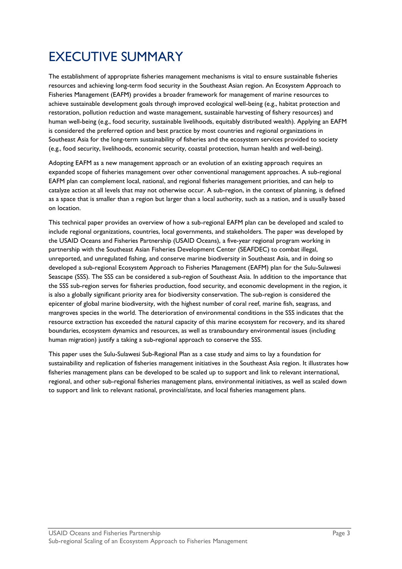# <span id="page-5-0"></span>EXECUTIVE SUMMARY

The establishment of appropriate fisheries management mechanisms is vital to ensure sustainable fisheries resources and achieving long-term food security in the Southeast Asian region. An Ecosystem Approach to Fisheries Management (EAFM) provides a broader framework for management of marine resources to achieve sustainable development goals through improved ecological well-being (e.g., habitat protection and restoration, pollution reduction and waste management, sustainable harvesting of fishery resources) and human well-being (e.g., food security, sustainable livelihoods, equitably distributed wealth). Applying an EAFM is considered the preferred option and best practice by most countries and regional organizations in Southeast Asia for the long-term sustainability of fisheries and the ecosystem services provided to society (e.g., food security, livelihoods, economic security, coastal protection, human health and well-being).

Adopting EAFM as a new management approach or an evolution of an existing approach requires an expanded scope of fisheries management over other conventional management approaches. A sub-regional EAFM plan can complement local, national, and regional fisheries management priorities, and can help to catalyze action at all levels that may not otherwise occur. A sub-region, in the context of planning, is defined as a space that is smaller than a region but larger than a local authority, such as a nation, and is usually based on location.

This technical paper provides an overview of how a sub-regional EAFM plan can be developed and scaled to include regional organizations, countries, local governments, and stakeholders. The paper was developed by the USAID Oceans and Fisheries Partnership (USAID Oceans), a five-year regional program working in partnership with the Southeast Asian Fisheries Development Center (SEAFDEC) to combat illegal, unreported, and unregulated fishing, and conserve marine biodiversity in Southeast Asia, and in doing so developed a sub-regional Ecosystem Approach to Fisheries Management (EAFM) plan for the Sulu-Sulawesi Seascape (SSS). The SSS can be considered a sub-region of Southeast Asia. In addition to the importance that the SSS sub-region serves for fisheries production, food security, and economic development in the region, it is also a globally significant priority area for biodiversity conservation. The sub-region is considered the epicenter of global marine biodiversity, with the highest number of coral reef, marine fish, seagrass, and mangroves species in the world. The deterioration of environmental conditions in the SSS indicates that the resource extraction has exceeded the natural capacity of this marine ecosystem for recovery, and its shared boundaries, ecosystem dynamics and resources, as well as transboundary environmental issues (including human migration) justify a taking a sub-regional approach to conserve the SSS.

This paper uses the Sulu-Sulawesi Sub-Regional Plan as a case study and aims to lay a foundation for sustainability and replication of fisheries management initiatives in the Southeast Asia region. It illustrates how fisheries management plans can be developed to be scaled up to support and link to relevant international, regional, and other sub-regional fisheries management plans, environmental initiatives, as well as scaled down to support and link to relevant national, provincial/state, and local fisheries management plans.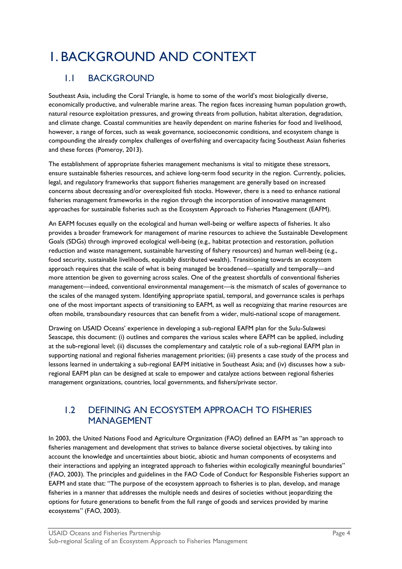# <span id="page-6-0"></span>1. BACKGROUND AND CONTEXT

## <span id="page-6-1"></span>1.1 BACKGROUND

Southeast Asia, including the Coral Triangle, is home to some of the world's most biologically diverse, economically productive, and vulnerable marine areas. The region faces increasing human population growth, natural resource exploitation pressures, and growing threats from pollution, habitat alteration, degradation, and climate change. Coastal communities are heavily dependent on marine fisheries for food and livelihood, however, a range of forces, such as weak governance, socioeconomic conditions, and ecosystem change is compounding the already complex challenges of overfishing and overcapacity facing Southeast Asian fisheries and these forces (Pomeroy, 2013).

The establishment of appropriate fisheries management mechanisms is vital to mitigate these stressors, ensure sustainable fisheries resources, and achieve long-term food security in the region. Currently, policies, legal, and regulatory frameworks that support fisheries management are generally based on increased concerns about decreasing and/or overexploited fish stocks. However, there is a need to enhance national fisheries management frameworks in the region through the incorporation of innovative management approaches for sustainable fisheries such as the Ecosystem Approach to Fisheries Management (EAFM).

An EAFM focuses equally on the ecological and human well-being or welfare aspects of fisheries. It also provides a broader framework for management of marine resources to achieve the Sustainable Development Goals (SDGs) through improved ecological well-being (e.g., habitat protection and restoration, pollution reduction and waste management, sustainable harvesting of fishery resources) and human well-being (e.g., food security, sustainable livelihoods, equitably distributed wealth). Transitioning towards an ecosystem approach requires that the scale of what is being managed be broadened—spatially and temporally—and more attention be given to governing across scales. One of the greatest shortfalls of conventional fisheries management—indeed, conventional environmental management—is the mismatch of scales of governance to the scales of the managed system. Identifying appropriate spatial, temporal, and governance scales is perhaps one of the most important aspects of transitioning to EAFM, as well as recognizing that marine resources are often mobile, transboundary resources that can benefit from a wider, multi-national scope of management.

Drawing on USAID Oceans' experience in developing a sub-regional EAFM plan for the Sulu-Sulawesi Seascape, this document: (i) outlines and compares the various scales where EAFM can be applied, including at the sub-regional level; (ii) discusses the complementary and catalytic role of a sub-regional EAFM plan in supporting national and regional fisheries management priorities; (iii) presents a case study of the process and lessons learned in undertaking a sub-regional EAFM initiative in Southeast Asia; and (iv) discusses how a subregional EAFM plan can be designed at scale to empower and catalyze actions between regional fisheries management organizations, countries, local governments, and fishers/private sector.

## <span id="page-6-2"></span>1.2 DEFINING AN ECOSYSTEM APPROACH TO FISHERIES MANAGEMENT

In 2003, the United Nations Food and Agriculture Organization (FAO) defined an EAFM as "an approach to fisheries management and development that strives to balance diverse societal objectives, by taking into account the knowledge and uncertainties about biotic, abiotic and human components of ecosystems and their interactions and applying an integrated approach to fisheries within ecologically meaningful boundaries" (FAO, 2003). The principles and guidelines in the FAO Code of Conduct for Responsible Fisheries support an EAFM and state that: "The purpose of the ecosystem approach to fisheries is to plan, develop, and manage fisheries in a manner that addresses the multiple needs and desires of societies without jeopardizing the options for future generations to benefit from the full range of goods and services provided by marine ecosystems" (FAO, 2003).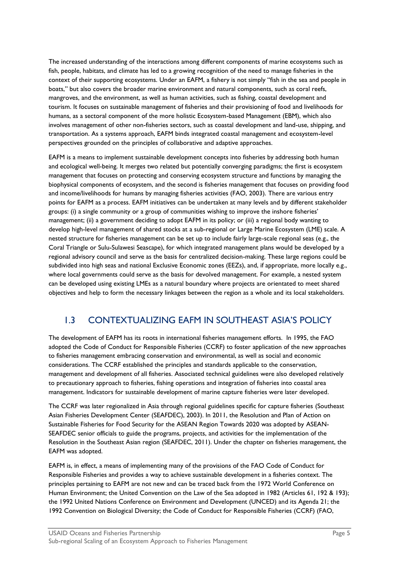The increased understanding of the interactions among different components of marine ecosystems such as fish, people, habitats, and climate has led to a growing recognition of the need to manage fisheries in the context of their supporting ecosystems. Under an EAFM, a fishery is not simply "fish in the sea and people in boats," but also covers the broader marine environment and natural components, such as coral reefs, mangroves, and the environment, as well as human activities, such as fishing, coastal development and tourism. It focuses on sustainable management of fisheries and their provisioning of food and livelihoods for humans, as a sectoral component of the more holistic Ecosystem-based Management (EBM), which also involves management of other non-fisheries sectors, such as coastal development and land-use, shipping, and transportation. As a systems approach, EAFM binds integrated coastal management and ecosystem-level perspectives grounded on the principles of collaborative and adaptive approaches.

EAFM is a means to implement sustainable development concepts into fisheries by addressing both human and ecological well-being. It merges two related but potentially converging paradigms; the first is ecosystem management that focuses on protecting and conserving ecosystem structure and functions by managing the biophysical components of ecosystem, and the second is fisheries management that focuses on providing food and income/livelihoods for humans by managing fisheries activities (FAO, 2003). There are various entry points for EAFM as a process. EAFM initiatives can be undertaken at many levels and by different stakeholder groups: (i) a single community or a group of communities wishing to improve the inshore fisheries' management; (ii) a government deciding to adopt EAFM in its policy; or (iii) a regional body wanting to develop high-level management of shared stocks at a sub-regional or Large Marine Ecosystem (LME) scale. A nested structure for fisheries management can be set up to include fairly large-scale regional seas (e.g., the Coral Triangle or Sulu-Sulawesi Seascape), for which integrated management plans would be developed by a regional advisory council and serve as the basis for centralized decision-making. These large regions could be subdivided into high seas and national Exclusive Economic zones (EEZs), and, if appropriate, more locally e.g., where local governments could serve as the basis for devolved management. For example, a nested system can be developed using existing LMEs as a natural boundary where projects are orientated to meet shared objectives and help to form the necessary linkages between the region as a whole and its local stakeholders.

## <span id="page-7-0"></span>1.3 CONTEXTUALIZING EAFM IN SOUTHEAST ASIA'S POLICY

The development of EAFM has its roots in international fisheries management efforts. In 1995, the FAO adopted the Code of Conduct for Responsible Fisheries (CCRF) to foster application of the new approaches to fisheries management embracing conservation and environmental, as well as social and economic considerations. The CCRF established the principles and standards applicable to the conservation, management and development of all fisheries. Associated technical guidelines were also developed relatively to precautionary approach to fisheries, fishing operations and integration of fisheries into coastal area management. Indicators for sustainable development of marine capture fisheries were later developed.

The CCRF was later regionalized in Asia through regional guidelines specific for capture fisheries (Southeast Asian Fisheries Development Center (SEAFDEC), 2003). In 2011, the Resolution and Plan of Action on Sustainable Fisheries for Food Security for the ASEAN Region Towards 2020 was adopted by ASEAN-SEAFDEC senior officials to guide the programs, projects, and activities for the implementation of the Resolution in the Southeast Asian region (SEAFDEC, 2011). Under the chapter on fisheries management, the EAFM was adopted.

EAFM is, in effect, a means of implementing many of the provisions of the FAO Code of Conduct for Responsible Fisheries and provides a way to achieve sustainable development in a fisheries context. The principles pertaining to EAFM are not new and can be traced back from the 1972 World Conference on Human Environment; the United Convention on the Law of the Sea adopted in 1982 (Articles 61, 192 & 193); the 1992 United Nations Conference on Environment and Development (UNCED) and its Agenda 21; the 1992 Convention on Biological Diversity; the Code of Conduct for Responsible Fisheries (CCRF) (FAO,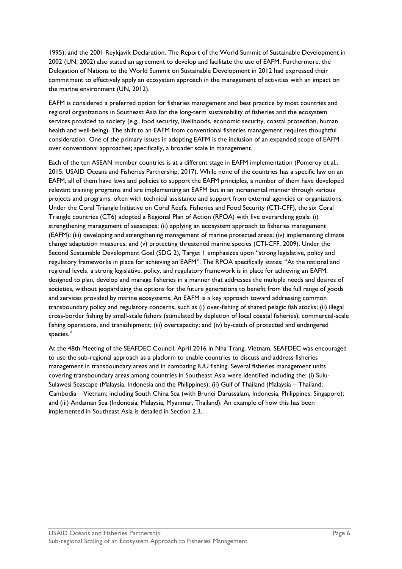1995); and the 2001 Reykjavik Declaration. The Report of the World Summit of Sustainable Development in 2002 (UN, 2002) also stated an agreement to develop and facilitate the use of EAFM. Furthermore, the Delegation of Nations to the World Summit on Sustainable Development in 2012 had expressed their commitment to effectively apply an ecosystem approach in the management of activities with an impact on the marine environment (UN, 2012).

EAFM is considered a preferred option for fisheries management and best practice by most countries and regional organizations in Southeast Asia for the long-term sustainability of fisheries and the ecosystem services provided to society (e.g., food security, livelihoods, economic security, coastal protection, human health and well-being). The shift to an EAFM from conventional fisheries management requires thoughtful consideration. One of the primary issues in adopting EAFM is the inclusion of an expanded scope of EAFM over conventional approaches; specifically, a broader scale in management.

Each of the ten ASEAN member countries is at a different stage in EAFM implementation (Pomeroy et al., 2015; USAID Oceans and Fisheries Partnership, 2017). While none of the countries has a specific law on an EAFM, all of them have laws and policies to support the EAFM principles, a number of them have developed relevant training programs and are implementing an EAFM but in an incremental manner through various projects and programs, often with technical assistance and support from external agencies or organizations. Under the Coral Triangle Initiative on Coral Reefs, Fisheries and Food Security (CTI-CFF), the six Coral Triangle countries (CT6) adopted a Regional Plan of Action (RPOA) with five overarching goals: (i) strengthening management of seascapes; (ii) applying an ecosystem approach to fisheries management (EAFM); (iii) developing and strengthening management of marine protected areas; (iv) implementing climate change adaptation measures; and (v) protecting threatened marine species (CTI-CFF, 2009). Under the Second Sustainable Development Goal (SDG 2), Target 1 emphasizes upon "strong legislative, policy and regulatory frameworks in place for achieving an EAFM". The RPOA specifically states: "At the national and regional levels, a strong legislative, policy, and regulatory framework is in place for achieving an EAFM, designed to plan, develop and manage fisheries in a manner that addresses the multiple needs and desires of societies, without jeopardizing the options for the future generations to benefit from the full range of goods and services provided by marine ecosystems. An EAFM is a key approach toward addressing common transboundary policy and regulatory concerns, such as (i) over-fishing of shared pelagic fish stocks; (ii) illegal cross-border fishing by small-scale fishers (stimulated by depletion of local coastal fisheries), commercial-scale fishing operations, and transshipment; (iii) overcapacity; and (iv) by-catch of protected and endangered species."

At the 48th Meeting of the SEAFDEC Council, April 2016 in Nha Trang, Vietnam, SEAFDEC was encouraged to use the sub-regional approach as a platform to enable countries to discuss and address fisheries management in transboundary areas and in combating IUU fishing. Several fisheries management units covering transboundary areas among countries in Southeast Asia were identified including the: (i) Sulu-Sulawesi Seascape (Malaysia, Indonesia and the Philippines); (ii) Gulf of Thailand (Malaysia – Thailand; Cambodia – Vietnam; including South China Sea (with Brunei Darussalam, Indonesia, Philippines, Singapore); and (iii) Andaman Sea (Indonesia, Malaysia, Myanmar, Thailand). An example of how this has been implemented in Southeast Asia is detailed in Section 2.3.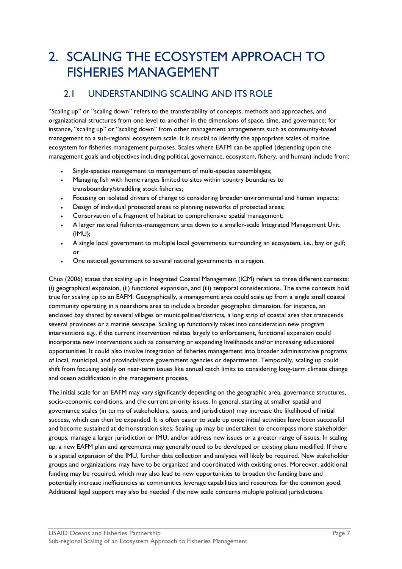# <span id="page-9-0"></span>2. SCALING THE ECOSYSTEM APPROACH TO FISHERIES MANAGEMENT

## <span id="page-9-1"></span>2.1 UNDERSTANDING SCALING AND ITS ROLE

"Scaling up" or "scaling down" refers to the transferability of concepts, methods and approaches, and organizational structures from one level to another in the dimensions of space, time, and governance; for instance, "scaling up" or "scaling down" from other management arrangements such as community-based management to a sub-regional ecosystem scale. It is crucial to identify the appropriate scales of marine ecosystem for fisheries management purposes. Scales where EAFM can be applied (depending upon the management goals and objectives including political, governance, ecosystem, fishery, and human) include from:

- Single-species management to management of multi-species assemblages;
- Managing fish with home ranges limited to sites within country boundaries to transboundary/straddling stock fisheries;
- Focusing on isolated drivers of change to considering broader environmental and human impacts;
- Design of individual protected areas to planning networks of protected areas;
- Conservation of a fragment of habitat to comprehensive spatial management;
- A larger national fisheries-management area down to a smaller-scale Integrated Management Unit (IMU);
- A single local government to multiple local governments surrounding an ecosystem, i.e., bay or gulf; or
- One national government to several national governments in a region.

Chua (2006) states that scaling up in Integrated Coastal Management (ICM) refers to three different contexts: (i) geographical expansion, (ii) functional expansion, and (iii) temporal considerations. The same contexts hold true for scaling up to an EAFM. Geographically, a management area could scale up from a single small coastal community operating in a nearshore area to include a broader geographic dimension, for instance, an enclosed bay shared by several villages or municipalities/districts, a long strip of coastal area that transcends several provinces or a marine seascape. Scaling up functionally takes into consideration new program interventions e.g., if the current intervention relates largely to enforcement, functional expansion could incorporate new interventions such as conserving or expanding livelihoods and/or increasing educational opportunities. It could also involve integration of fisheries management into broader administrative programs of local, municipal, and provincial/state government agencies or departments. Temporally, scaling up could shift from focusing solely on near-term issues like annual catch limits to considering long-term climate change and ocean acidification in the management process.

The initial scale for an EAFM may vary significantly depending on the geographic area, governance structures, socio-economic conditions, and the current priority issues. In general, starting at smaller spatial and governance scales (in terms of stakeholders, issues, and jurisdiction) may increase the likelihood of initial success, which can then be expanded. It is often easier to scale up once initial activities have been successful and become sustained at demonstration sites. Scaling up may be undertaken to encompass more stakeholder groups, manage a larger jurisdiction or IMU, and/or address new issues or a greater range of issues. In scaling up, a new EAFM plan and agreements may generally need to be developed or existing plans modified. If there is a spatial expansion of the IMU, further data collection and analyses will likely be required. New stakeholder groups and organizations may have to be organized and coordinated with existing ones. Moreover, additional funding may be required, which may also lead to new opportunities to broaden the funding base and potentially increase inefficiencies as communities leverage capabilities and resources for the common good. Additional legal support may also be needed if the new scale concerns multiple political jurisdictions.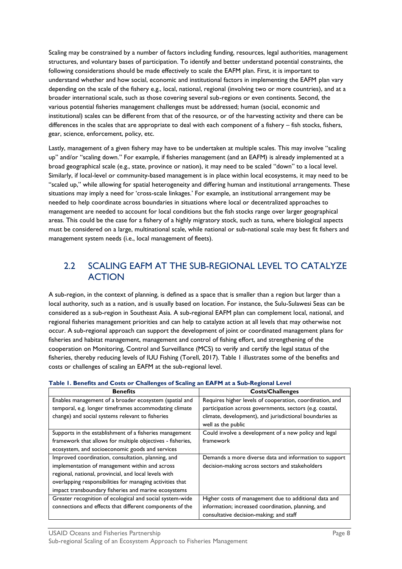Scaling may be constrained by a number of factors including funding, resources, legal authorities, management structures, and voluntary bases of participation. To identify and better understand potential constraints, the following considerations should be made effectively to scale the EAFM plan. First, it is important to understand whether and how social, economic and institutional factors in implementing the EAFM plan vary depending on the scale of the fishery e.g., local, national, regional (involving two or more countries), and at a broader international scale, such as those covering several sub-regions or even continents. Second, the various potential fisheries management challenges must be addressed; human (social, economic and institutional) scales can be different from that of the resource, or of the harvesting activity and there can be differences in the scales that are appropriate to deal with each component of a fishery – fish stocks, fishers, gear, science, enforcement, policy, etc.

Lastly, management of a given fishery may have to be undertaken at multiple scales. This may involve "scaling up" and/or "scaling down." For example, if fisheries management (and an EAFM) is already implemented at a broad geographical scale (e.g., state, province or nation), it may need to be scaled "down" to a local level. Similarly, if local-level or community-based management is in place within local ecosystems, it may need to be "scaled up," while allowing for spatial heterogeneity and differing human and institutional arrangements. These situations may imply a need for 'cross-scale linkages.' For example, an institutional arrangement may be needed to help coordinate across boundaries in situations where local or decentralized approaches to management are needed to account for local conditions but the fish stocks range over larger geographical areas. This could be the case for a fishery of a highly migratory stock, such as tuna, where biological aspects must be considered on a large, multinational scale, while national or sub-national scale may best fit fishers and management system needs (i.e., local management of fleets).

### <span id="page-10-0"></span>2.2 SCALING EAFM AT THE SUB-REGIONAL LEVEL TO CATALYZE ACTION

A sub-region, in the context of planning, is defined as a space that is smaller than a region but larger than a local authority, such as a nation, and is usually based on location. For instance, the Sulu-Sulawesi Seas can be considered as a sub-region in Southeast Asia. A sub-regional EAFM plan can complement local, national, and regional fisheries management priorities and can help to catalyze action at all levels that may otherwise not occur. A sub-regional approach can support the development of joint or coordinated management plans for fisheries and habitat management, management and control of fishing effort, and strengthening of the cooperation on Monitoring, Control and Surveillance (MCS) to verify and certify the legal status of the fisheries, thereby reducing levels of IUU Fishing (Torell, 2017). Table 1 illustrates some of the benefits and costs or challenges of scaling an EAFM at the sub-regional level.

| <b>Benefits</b>                                            | <b>Costs/Challenges</b>                                  |  |
|------------------------------------------------------------|----------------------------------------------------------|--|
| Enables management of a broader ecosystem (spatial and     | Requires higher levels of cooperation, coordination, and |  |
| temporal, e.g. longer timeframes accommodating climate     | participation across governments, sectors (e.g. coastal, |  |
| change) and social systems relevant to fisheries           | climate, development), and jurisdictional boundaries as  |  |
|                                                            | well as the public                                       |  |
| Supports in the establishment of a fisheries management    | Could involve a development of a new policy and legal    |  |
| framework that allows for multiple objectives - fisheries, | framework                                                |  |
| ecosystem, and socioeconomic goods and services            |                                                          |  |
| Improved coordination, consultation, planning, and         | Demands a more diverse data and information to support   |  |
| implementation of management within and across             | decision-making across sectors and stakeholders          |  |
| regional, national, provincial, and local levels with      |                                                          |  |
| overlapping responsibilities for managing activities that  |                                                          |  |
| impact transboundary fisheries and marine ecosystems       |                                                          |  |
| Greater recognition of ecological and social system-wide   | Higher costs of management due to additional data and    |  |
| connections and effects that different components of the   | information; increased coordination, planning, and       |  |
|                                                            | consultative decision-making; and staff                  |  |

#### <span id="page-10-1"></span>**Table 1. Benefits and Costs or Challenges of Scaling an EAFM at a Sub-Regional Level**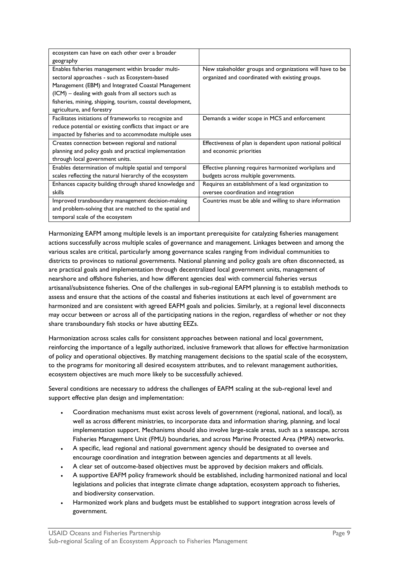| ecosystem can have on each other over a broader            |                                                            |  |
|------------------------------------------------------------|------------------------------------------------------------|--|
| geography                                                  |                                                            |  |
| Enables fisheries management within broader multi-         | New stakeholder groups and organizations will have to be   |  |
| sectoral approaches - such as Ecosystem-based              | organized and coordinated with existing groups.            |  |
| Management (EBM) and Integrated Coastal Management         |                                                            |  |
| (ICM) – dealing with goals from all sectors such as        |                                                            |  |
| fisheries, mining, shipping, tourism, coastal development, |                                                            |  |
| agriculture, and forestry                                  |                                                            |  |
| Facilitates initiations of frameworks to recognize and     | Demands a wider scope in MCS and enforcement               |  |
| reduce potential or existing conflicts that impact or are  |                                                            |  |
| impacted by fisheries and to accommodate multiple uses     |                                                            |  |
| Creates connection between regional and national           | Effectiveness of plan is dependent upon national political |  |
| planning and policy goals and practical implementation     | and economic priorities                                    |  |
| through local government units.                            |                                                            |  |
| Enables determination of multiple spatial and temporal     | Effective planning requires harmonized workplans and       |  |
| scales reflecting the natural hierarchy of the ecosystem   | budgets across multiple governments.                       |  |
| Enhances capacity building through shared knowledge and    | Requires an establishment of a lead organization to        |  |
| skills                                                     | oversee coordination and integration                       |  |
| Improved transboundary management decision-making          | Countries must be able and willing to share information    |  |
| and problem-solving that are matched to the spatial and    |                                                            |  |
| temporal scale of the ecosystem                            |                                                            |  |

Harmonizing EAFM among multiple levels is an important prerequisite for catalyzing fisheries management actions successfully across multiple scales of governance and management. Linkages between and among the various scales are critical, particularly among governance scales ranging from individual communities to districts to provinces to national governments. National planning and policy goals are often disconnected, as are practical goals and implementation through decentralized local government units, management of nearshore and offshore fisheries, and how different agencies deal with commercial fisheries versus artisanal/subsistence fisheries. One of the challenges in sub-regional EAFM planning is to establish methods to assess and ensure that the actions of the coastal and fisheries institutions at each level of government are harmonized and are consistent with agreed EAFM goals and policies. Similarly, at a regional level disconnects may occur between or across all of the participating nations in the region, regardless of whether or not they share transboundary fish stocks or have abutting EEZs.

Harmonization across scales calls for consistent approaches between national and local government, reinforcing the importance of a legally authorized, inclusive framework that allows for effective harmonization of policy and operational objectives. By matching management decisions to the spatial scale of the ecosystem, to the programs for monitoring all desired ecosystem attributes, and to relevant management authorities, ecosystem objectives are much more likely to be successfully achieved.

Several conditions are necessary to address the challenges of EAFM scaling at the sub-regional level and support effective plan design and implementation:

- Coordination mechanisms must exist across levels of government (regional, national, and local), as well as across different ministries, to incorporate data and information sharing, planning, and local implementation support. Mechanisms should also involve large-scale areas, such as a seascape, across Fisheries Management Unit (FMU) boundaries, and across Marine Protected Area (MPA) networks.
- A specific, lead regional and national government agency should be designated to oversee and encourage coordination and integration between agencies and departments at all levels.
- A clear set of outcome-based objectives must be approved by decision makers and officials.
- A supportive EAFM policy framework should be established, including harmonized national and local legislations and policies that integrate climate change adaptation, ecosystem approach to fisheries, and biodiversity conservation.
- Harmonized work plans and budgets must be established to support integration across levels of government.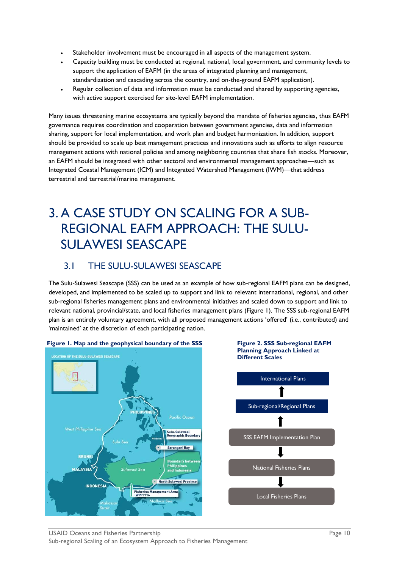- Stakeholder involvement must be encouraged in all aspects of the management system.
- Capacity building must be conducted at regional, national, local government, and community levels to support the application of EAFM (in the areas of integrated planning and management, standardization and cascading across the country, and on-the-ground EAFM application).
- Regular collection of data and information must be conducted and shared by supporting agencies, with active support exercised for site-level EAFM implementation.

Many issues threatening marine ecosystems are typically beyond the mandate of fisheries agencies, thus EAFM governance requires coordination and cooperation between government agencies, data and information sharing, support for local implementation, and work plan and budget harmonization. In addition, support should be provided to scale up best management practices and innovations such as efforts to align resource management actions with national policies and among neighboring countries that share fish stocks. Moreover, an EAFM should be integrated with other sectoral and environmental management approaches—such as Integrated Coastal Management (ICM) and Integrated Watershed Management (IWM)—that address terrestrial and terrestrial/marine management.

# <span id="page-12-0"></span>3. A CASE STUDY ON SCALING FOR A SUB-REGIONAL EAFM APPROACH: THE SULU-SULAWESI SEASCAPE

## <span id="page-12-1"></span>3.1 THE SULU-SULAWESI SEASCAPE

The Sulu-Sulawesi Seascape (SSS) can be used as an example of how sub-regional EAFM plans can be designed, developed, and implemented to be scaled up to support and link to relevant international, regional, and other sub-regional fisheries management plans and environmental initiatives and scaled down to support and link to relevant national, provincial/state, and local fisheries management plans (Figure 1). The SSS sub-regional EAFM plan is an entirely voluntary agreement, with all proposed management actions 'offered' (i.e., contributed) and 'maintained' at the discretion of each participating nation.



#### **Figure 1. Map and the geophysical boundary of the SSS**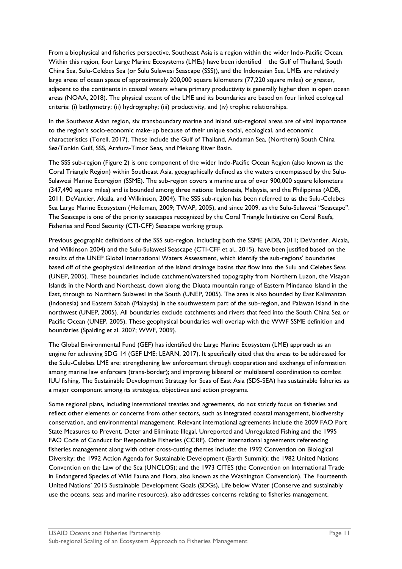From a biophysical and fisheries perspective, Southeast Asia is a region within the wider Indo-Pacific Ocean. Within this region, four Large Marine Ecosystems (LMEs) have been identified – the Gulf of Thailand, South China Sea, Sulu-Celebes Sea (or Sulu Sulawesi Seascape (SSS)), and the Indonesian Sea. LMEs are relatively large areas of ocean space of approximately 200,000 square kilometers (77,220 square miles) or greater, adjacent to the continents in coastal waters where primary productivity is generally higher than in open ocean areas (NOAA, 2018). The physical extent of the LME and its boundaries are based on four linked ecological criteria: (i) bathymetry; (ii) hydrography; (iii) productivity, and (iv) trophic relationships.

In the Southeast Asian region, six transboundary marine and inland sub-regional areas are of vital importance to the region's socio-economic make-up because of their unique social, ecological, and economic characteristics (Torell, 2017). These include the Gulf of Thailand, Andaman Sea, (Northern) South China Sea/Tonkin Gulf, SSS, Arafura-Timor Seas, and Mekong River Basin.

The SSS sub-region (Figure 2) is one component of the wider Indo-Pacific Ocean Region (also known as the Coral Triangle Region) within Southeast Asia, geographically defined as the waters encompassed by the Sulu-Sulawesi Marine Ecoregion (SSME). The sub-region covers a marine area of over 900,000 square kilometers (347,490 square miles) and is bounded among three nations: Indonesia, Malaysia, and the Philippines (ADB, 2011; DeVantier, Alcala, and Wilkinson, 2004). The SSS sub-region has been referred to as the Sulu-Celebes Sea Large Marine Ecosystem (Heileman, 2009; TWAP, 2005), and since 2009, as the Sulu-Sulawesi "Seascape". The Seascape is one of the priority seascapes recognized by the Coral Triangle Initiative on Coral Reefs, Fisheries and Food Security (CTI-CFF) Seascape working group.

Previous geographic definitions of the SSS sub-region, including both the SSME (ADB, 2011; DeVantier, Alcala, and Wilkinson 2004) and the Sulu-Sulawesi Seascape (CTI-CFF et al., 2015), have been justified based on the results of the UNEP Global International Waters Assessment, which identify the sub-regions' boundaries based off of the geophysical delineation of the island drainage basins that flow into the Sulu and Celebes Seas (UNEP, 2005). These boundaries include catchment/watershed topography from Northern Luzon, the Visayan Islands in the North and Northeast, down along the Diuata mountain range of Eastern Mindanao Island in the East, through to Northern Sulawesi in the South (UNEP, 2005). The area is also bounded by East Kalimantan (Indonesia) and Eastern Sabah (Malaysia) in the southwestern part of the sub-region, and Palawan Island in the northwest (UNEP, 2005). All boundaries exclude catchments and rivers that feed into the South China Sea or Pacific Ocean (UNEP, 2005). These geophysical boundaries well overlap with the WWF SSME definition and boundaries (Spalding et al. 2007; WWF, 2009).

The Global Environmental Fund (GEF) has identified the Large Marine Ecosystem (LME) approach as an engine for achieving SDG 14 (GEF LME: LEARN, 2017). It specifically cited that the areas to be addressed for the Sulu-Celebes LME are: strengthening law enforcement through cooperation and exchange of information among marine law enforcers (trans-border); and improving bilateral or multilateral coordination to combat IUU fishing. The Sustainable Development Strategy for Seas of East Asia (SDS-SEA) has sustainable fisheries as a major component among its strategies, objectives and action programs.

Some regional plans, including international treaties and agreements, do not strictly focus on fisheries and reflect other elements or concerns from other sectors, such as integrated coastal management, biodiversity conservation, and environmental management. Relevant international agreements include the 2009 FAO Port State Measures to Prevent, Deter and Eliminate Illegal, Unreported and Unregulated Fishing and the 1995 FAO Code of Conduct for Responsible Fisheries (CCRF). Other international agreements referencing fisheries management along with other cross-cutting themes include: the 1992 Convention on Biological Diversity; the 1992 Action Agenda for Sustainable Development (Earth Summit); the 1982 United Nations Convention on the Law of the Sea (UNCLOS); and the 1973 CITES (the Convention on International Trade in Endangered Species of Wild Fauna and Flora, also known as the Washington Convention). The Fourteenth United Nations' 2015 Sustainable Development Goals (SDGs), Life below Water (Conserve and sustainably use the oceans, seas and marine resources), also addresses concerns relating to fisheries management.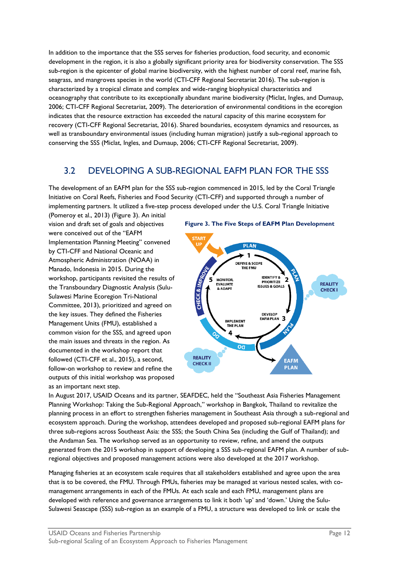In addition to the importance that the SSS serves for fisheries production, food security, and economic development in the region, it is also a globally significant priority area for biodiversity conservation. The SSS sub-region is the epicenter of global marine biodiversity, with the highest number of coral reef, marine fish, seagrass, and mangroves species in the world (CTI-CFF Regional Secretariat 2016). The sub-region is characterized by a tropical climate and complex and wide-ranging biophysical characteristics and oceanography that contribute to its exceptionally abundant marine biodiversity (Miclat, Ingles, and Dumaup, 2006; CTI-CFF Regional Secretariat, 2009). The deterioration of environmental conditions in the ecoregion indicates that the resource extraction has exceeded the natural capacity of this marine ecosystem for recovery (CTI-CFF Regional Secretariat, 2016). Shared boundaries, ecosystem dynamics and resources, as well as transboundary environmental issues (including human migration) justify a sub-regional approach to conserving the SSS (Miclat, Ingles, and Dumaup, 2006; CTI-CFF Regional Secretariat, 2009).

## <span id="page-14-0"></span>3.2 DEVELOPING A SUB-REGIONAL EAFM PLAN FOR THE SSS

The development of an EAFM plan for the SSS sub-region commenced in 2015, led by the Coral Triangle Initiative on Coral Reefs, Fisheries and Food Security (CTI-CFF) and supported through a number of implementing partners. It utilized a five-step process developed under the U.S. Coral Triangle Initiative

(Pomeroy et al., 2013) (Figure 3). An initial vision and draft set of goals and objectives were conceived out of the "EAFM Implementation Planning Meeting" convened by CTI-CFF and National Oceanic and Atmospheric Administration (NOAA) in Manado, Indonesia in 2015. During the workshop, participants revisited the results of the Transboundary Diagnostic Analysis (Sulu-Sulawesi Marine Ecoregion Tri-National Committee, 2013), prioritized and agreed on the key issues. They defined the Fisheries Management Units (FMU), established a common vision for the SSS, and agreed upon the main issues and threats in the region. As documented in the workshop report that followed (CTI-CFF et al., 2015), a second, follow-on workshop to review and refine the outputs of this initial workshop was proposed as an important next step.



In August 2017, USAID Oceans and its partner, SEAFDEC, held the "Southeast Asia Fisheries Management Planning Workshop: Taking the Sub-Regional Approach," workshop in Bangkok, Thailand to revitalize the planning process in an effort to strengthen fisheries management in Southeast Asia through a sub-regional and ecosystem approach. During the workshop, attendees developed and proposed sub-regional EAFM plans for three sub-regions across Southeast Asia: the SSS; the South China Sea (including the Gulf of Thailand); and the Andaman Sea. The workshop served as an opportunity to review, refine, and amend the outputs generated from the 2015 workshop in support of developing a SSS sub-regional EAFM plan. A number of subregional objectives and proposed management actions were also developed at the 2017 workshop.

Managing fisheries at an ecosystem scale requires that all stakeholders established and agree upon the area that is to be covered, the FMU. Through FMUs, fisheries may be managed at various nested scales, with comanagement arrangements in each of the FMUs. At each scale and each FMU, management plans are developed with reference and governance arrangements to link it both 'up' and 'down.' Using the Sulu-Sulawesi Seascape (SSS) sub-region as an example of a FMU, a structure was developed to link or scale the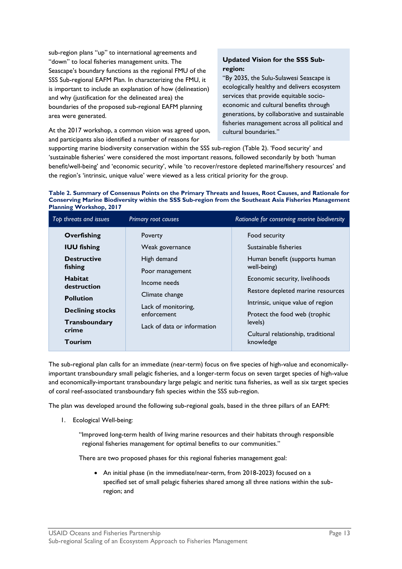sub-region plans "up" to international agreements and "down" to local fisheries management units. The Seascape's boundary functions as the regional FMU of the SSS Sub-regional EAFM Plan. In characterizing the FMU, it is important to include an explanation of how (delineation) and why (justification for the delineated area) the boundaries of the proposed sub-regional EAFM planning area were generated.

At the 2017 workshop, a common vision was agreed upon, and participants also identified a number of reasons for

#### **Updated Vision for the SSS Subregion:**

"By 2035, the Sulu-Sulawesi Seascape is ecologically healthy and delivers ecosystem services that provide equitable socioeconomic and cultural benefits through generations, by collaborative and sustainable fisheries management across all political and cultural boundaries."

supporting marine biodiversity conservation within the SSS sub-region (Table 2). 'Food security' and 'sustainable fisheries' were considered the most important reasons, followed secondarily by both 'human benefit/well-being' and 'economic security', while 'to recover/restore depleted marine/fishery resources' and the region's 'intrinsic, unique value' were viewed as a less critical priority for the group.

#### **Table 2. Summary of Consensus Points on the Primary Threats and Issues, Root Causes, and Rationale for Conserving Marine Biodiversity within the SSS Sub-region from the Southeast Asia Fisheries Management Planning Workshop, 2017**

| Top threats and issues                                                                                                                                                                  | Primary root causes                                                                                                                                                 | Rationale for conserving marine biodiversity                                                                                                                                                                                                                                                      |
|-----------------------------------------------------------------------------------------------------------------------------------------------------------------------------------------|---------------------------------------------------------------------------------------------------------------------------------------------------------------------|---------------------------------------------------------------------------------------------------------------------------------------------------------------------------------------------------------------------------------------------------------------------------------------------------|
| Overfishing<br><b>IUU fishing</b><br><b>Destructive</b><br>fishing<br><b>Habitat</b><br>destruction<br><b>Pollution</b><br><b>Declining stocks</b><br>Transboundary<br>crime<br>Tourism | Poverty<br>Weak governance<br>High demand<br>Poor management<br>Income needs<br>Climate change<br>Lack of monitoring,<br>enforcement<br>Lack of data or information | Food security<br>Sustainable fisheries<br>Human benefit (supports human<br>well-being)<br>Economic security, livelihoods<br>Restore depleted marine resources<br>Intrinsic, unique value of region<br>Protect the food web (trophic<br>levels)<br>Cultural relationship, traditional<br>knowledge |

The sub-regional plan calls for an immediate (near-term) focus on five species of high-value and economicallyimportant transboundary small pelagic fisheries, and a longer-term focus on seven target species of high-value and economically-important transboundary large pelagic and neritic tuna fisheries, as well as six target species of coral reef-associated transboundary fish species within the SSS sub-region.

The plan was developed around the following sub-regional goals, based in the three pillars of an EAFM:

1. Ecological Well-being:

"Improved long-term health of living marine resources and their habitats through responsible regional fisheries management for optimal benefits to our communities."

There are two proposed phases for this regional fisheries management goal:

• An initial phase (in the immediate/near-term, from 2018-2023) focused on a specified set of small pelagic fisheries shared among all three nations within the subregion; and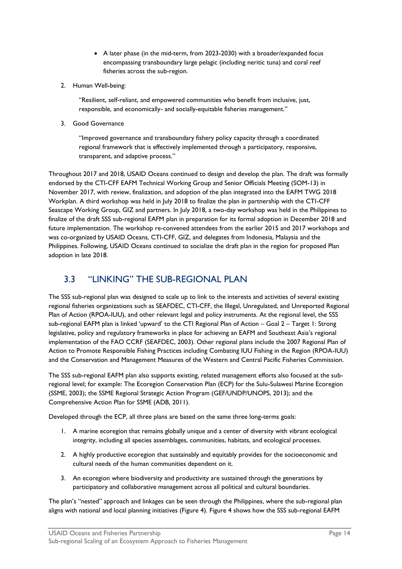- A later phase (in the mid-term, from 2023-2030) with a broader/expanded focus encompassing transboundary large pelagic (including neritic tuna) and coral reef fisheries across the sub-region.
- 2. Human Well-being:

"Resilient, self-reliant, and empowered communities who benefit from inclusive, just, responsible, and economically- and socially-equitable fisheries management."

3. Good Governance

"Improved governance and transboundary fishery policy capacity through a coordinated regional framework that is effectively implemented through a participatory, responsive, transparent, and adaptive process."

Throughout 2017 and 2018, USAID Oceans continued to design and develop the plan. The draft was formally endorsed by the CTI-CFF EAFM Technical Working Group and Senior Officials Meeting (SOM-13) in November 2017, with review, finalization, and adoption of the plan integrated into the EAFM TWG 2018 Workplan. A third workshop was held in July 2018 to finalize the plan in partnership with the CTI-CFF Seascape Working Group, GIZ and partners. In July 2018, a two-day workshop was held in the Philippines to finalize of the draft SSS sub-regional EAFM plan in preparation for its formal adoption in December 2018 and future implementation. The workshop re-convened attendees from the earlier 2015 and 2017 workshops and was co-organized by USAID Oceans, CTI-CFF, GIZ, and delegates from Indonesia, Malaysia and the Philippines. Following, USAID Oceans continued to socialize the draft plan in the region for proposed Plan adoption in late 2018.

## <span id="page-16-0"></span>3.3 "LINKING" THE SUB-REGIONAL PLAN

The SSS sub-regional plan was designed to scale up to link to the interests and activities of several existing regional fisheries organizations such as SEAFDEC, CTI-CFF, the Illegal, Unregulated, and Unreported Regional Plan of Action (RPOA-IUU), and other relevant legal and policy instruments. At the regional level, the SSS sub-regional EAFM plan is linked 'upward' to the CTI Regional Plan of Action – Goal 2 – Target 1: Strong legislative, policy and regulatory frameworks in place for achieving an EAFM and Southeast Asia's regional implementation of the FAO CCRF (SEAFDEC, 2003). Other regional plans include the 2007 Regional Plan of Action to Promote Responsible Fishing Practices including Combating IUU Fishing in the Region (RPOA-IUU) and the Conservation and Management Measures of the Western and Central Pacific Fisheries Commission.

The SSS sub-regional EAFM plan also supports existing, related management efforts also focused at the subregional level; for example: The Ecoregion Conservation Plan (ECP) for the Sulu-Sulawesi Marine Ecoregion (SSME, 2003); the SSME Regional Strategic Action Program (GEF/UNDP/UNOPS, 2013); and the Comprehensive Action Plan for SSME (ADB, 2011).

Developed through the ECP, all three plans are based on the same three long-terms goals:

- 1. A marine ecoregion that remains globally unique and a center of diversity with vibrant ecological integrity, including all species assemblages, communities, habitats, and ecological processes.
- 2. A highly productive ecoregion that sustainably and equitably provides for the socioeconomic and cultural needs of the human communities dependent on it.
- 3. An ecoregion where biodiversity and productivity are sustained through the generations by participatory and collaborative management across all political and cultural boundaries.

The plan's "nested" approach and linkages can be seen through the Philippines, where the sub-regional plan aligns with national and local planning initiatives (Figure 4). Figure 4 shows how the SSS sub-regional EAFM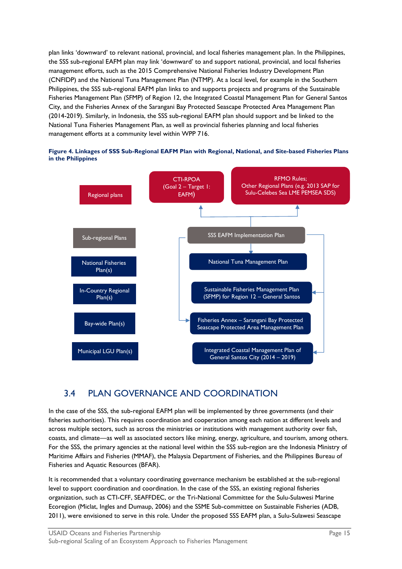plan links 'downward' to relevant national, provincial, and local fisheries management plan. In the Philippines, the SSS sub-regional EAFM plan may link 'downward' to and support national, provincial, and local fisheries management efforts, such as the 2015 Comprehensive National Fisheries Industry Development Plan (CNFIDP) and the National Tuna Management Plan (NTMP). At a local level, for example in the Southern Philippines, the SSS sub-regional EAFM plan links to and supports projects and programs of the Sustainable Fisheries Management Plan (SFMP) of Region 12, the Integrated Coastal Management Plan for General Santos City, and the Fisheries Annex of the Sarangani Bay Protected Seascape Protected Area Management Plan (2014-2019). Similarly, in Indonesia, the SSS sub-regional EAFM plan should support and be linked to the National Tuna Fisheries Management Plan, as well as provincial fisheries planning and local fisheries management efforts at a community level within WPP 716.





## <span id="page-17-0"></span>3.4 PLAN GOVERNANCE AND COORDINATION

In the case of the SSS, the sub-regional EAFM plan will be implemented by three governments (and their fisheries authorities). This requires coordination and cooperation among each nation at different levels and across multiple sectors, such as across the ministries or institutions with management authority over fish, coasts, and climate—as well as associated sectors like mining, energy, agriculture, and tourism, among others. For the SSS, the primary agencies at the national level within the SSS sub-region are the Indonesia Ministry of Maritime Affairs and Fisheries (MMAF), the Malaysia Department of Fisheries, and the Philippines Bureau of Fisheries and Aquatic Resources (BFAR).

It is recommended that a voluntary coordinating governance mechanism be established at the sub-regional level to support coordination and coordination. In the case of the SSS, an existing regional fisheries organization, such as CTI-CFF, SEAFFDEC, or the Tri-National Committee for the Sulu-Sulawesi Marine Ecoregion (Miclat, Ingles and Dumaup, 2006) and the SSME Sub-committee on Sustainable Fisheries (ADB, 2011), were envisioned to serve in this role. Under the proposed SSS EAFM plan, a Sulu-Sulawesi Seascape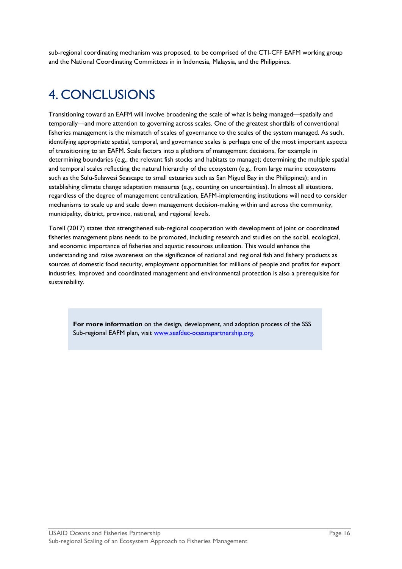sub-regional coordinating mechanism was proposed, to be comprised of the CTI-CFF EAFM working group and the National Coordinating Committees in in Indonesia, Malaysia, and the Philippines.

# <span id="page-18-0"></span>4. CONCLUSIONS

Transitioning toward an EAFM will involve broadening the scale of what is being managed—spatially and temporally—and more attention to governing across scales. One of the greatest shortfalls of conventional fisheries management is the mismatch of scales of governance to the scales of the system managed. As such, identifying appropriate spatial, temporal, and governance scales is perhaps one of the most important aspects of transitioning to an EAFM. Scale factors into a plethora of management decisions, for example in determining boundaries (e.g., the relevant fish stocks and habitats to manage); determining the multiple spatial and temporal scales reflecting the natural hierarchy of the ecosystem (e.g., from large marine ecosystems such as the Sulu-Sulawesi Seascape to small estuaries such as San Miguel Bay in the Philippines); and in establishing climate change adaptation measures (e.g., counting on uncertainties). In almost all situations, regardless of the degree of management centralization, EAFM-implementing institutions will need to consider mechanisms to scale up and scale down management decision-making within and across the community, municipality, district, province, national, and regional levels.

Torell (2017) states that strengthened sub-regional cooperation with development of joint or coordinated fisheries management plans needs to be promoted, including research and studies on the social, ecological, and economic importance of fisheries and aquatic resources utilization. This would enhance the understanding and raise awareness on the significance of national and regional fish and fishery products as sources of domestic food security, employment opportunities for millions of people and profits for export industries. Improved and coordinated management and environmental protection is also a prerequisite for sustainability.

**For more information** on the design, development, and adoption process of the SSS Sub-regional EAFM plan, visit [www.seafdec-oceanspartnership.org.](http://www.seafdec-oceanspartnership.org/)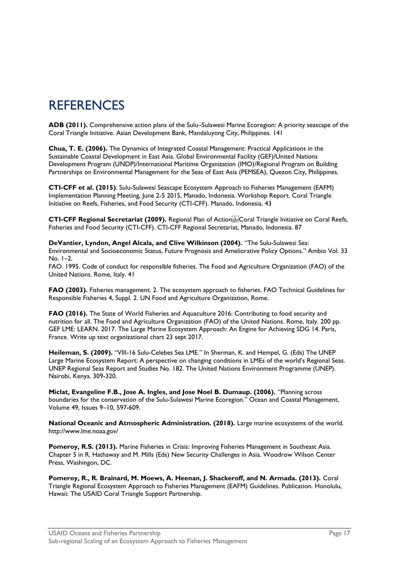# <span id="page-19-0"></span>**REFERENCES**

**ADB (2011).** Comprehensive action plans of the Sulu–Sulawesi Marine Ecoregion: A priority seascape of the Coral Triangle Initiative. Asian Development Bank, Mandaluyong City, Philippines. 141

**Chua, T. E. (2006).** The Dynamics of Integrated Coastal Management: Practical Applications in the Sustainable Coastal Development in East Asia. Global Environmental Facility (GEF)/United Nations Development Program (UNDP)/International Maritime Organization (IMO)/Regional Program on Building Partnerships on Environmental Management for the Seas of East Asia (PEMSEA), Quezon City, Philippines.

**CTI-CFF et al. (2015)**. Sulu-Sulawesi Seascape Ecosystem Approach to Fisheries Management (EAFM) Implementation Planning Meeting, June 2-5 2015, Manado, Indonesia. Workshop Report. Coral Triangle Initiative on Reefs, Fisheries, and Food Security (CTI-CFF). Manado, Indonesia. 43

CTI-CFF Regional Secretariat (2009). Regional Plan of Actionstrictoral Triangle Initiative on Coral Reefs, Fisheries and Food Security (CTI-CFF). CTI-CFF Regional Secretariat, Manado, Indonesia. 87

**DeVantier, Lyndon, Angel Alcala, and Clive Wilkinson (2004).** "The Sulu-Sulawesi Sea: Environmental and Socioeconomic Status, Future Prognosis and Ameliorative Policy Options." Ambio Vol. 33  $No$   $I=2$ 

FAO. 1995. Code of conduct for responsible fisheries. The Food and Agriculture Organization (FAO) of the United Nations. Rome, Italy. 41

**FAO (2003).** Fisheries management. 2. The ecosystem approach to fisheries. FAO Technical Guidelines for Responsible Fisheries 4, Suppl. 2. UN Food and Agriculture Organization, Rome.

**FAO (2016).** The State of World Fisheries and Aquaculture 2016: Contributing to food security and nutrition for all. The Food and Agriculture Organization (FAO) of the United Nations. Rome, Italy. 200 pp. GEF LME: LEARN. 2017. The Large Marine Ecosystem Approach: An Engine for Achieving SDG 14. Paris, France. Write up text organizational chart 23 sept 2017.

**Heileman, S. (2009).** "VIII-16 Sulu-Celebes Sea LME." In Sherman, K. and Hempel, G. (Eds) The UNEP Large Marine Ecosystem Report: A perspective on changing conditions in LMEs of the world's Regional Seas. UNEP Regional Seas Report and Studies No. 182. The United Nations Environment Programme (UNEP). Nairobi, Kenya. 309-320.

**Miclat, Evangeline F.B., Jose A. Ingles, and Jose Noel B. Dumaup. (2006).** "Planning across boundaries for the conservation of the Sulu-Sulawesi Marine Ecoregion." Ocean and Coastal Management, Volume 49, Issues 9–10, 597-609.

**National Oceanic and Atmospheric Administration. (2018).** Large marine ecosystems of the world. http://www.lme.noaa.gov/

**Pomeroy, R.S. (2013).** Marine Fisheries in Crisis: Improving Fisheries Management in Southeast Asia. Chapter 5 in R. Hathaway and M. Mills (Eds) New Security Challenges in Asia. Woodrow Wilson Center Press, Washingon, DC.

**Pomeroy, R., R. Brainard, M. Moews, A. Heenan, J. Shackeroff, and N. Armada. (2013).** Coral Triangle Regional Ecosystem Approach to Fisheries Management (EAFM) Guidelines. Publication. Honolulu, Hawaii: The USAID Coral Triangle Support Partnership.